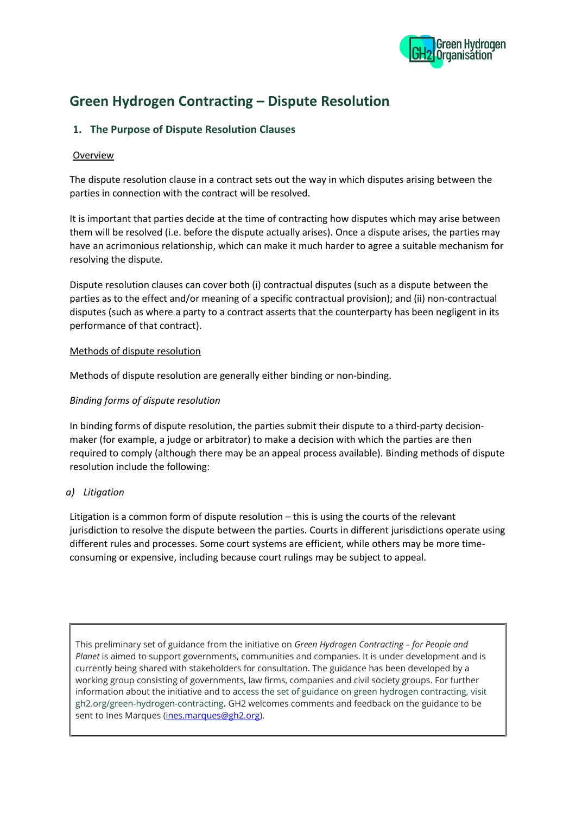

# **Green Hydrogen Contracting – Dispute Resolution**

# **1. The Purpose of Dispute Resolution Clauses**

#### Overview

The dispute resolution clause in a contract sets out the way in which disputes arising between the parties in connection with the contract will be resolved.

It is important that parties decide at the time of contracting how disputes which may arise between them will be resolved (i.e. before the dispute actually arises). Once a dispute arises, the parties may have an acrimonious relationship, which can make it much harder to agree a suitable mechanism for resolving the dispute.

Dispute resolution clauses can cover both (i) contractual disputes (such as a dispute between the parties as to the effect and/or meaning of a specific contractual provision); and (ii) non-contractual disputes (such as where a party to a contract asserts that the counterparty has been negligent in its performance of that contract).

#### Methods of dispute resolution

Methods of dispute resolution are generally either binding or non-binding.

## *Binding forms of dispute resolution*

In binding forms of dispute resolution, the parties submit their dispute to a third-party decisionmaker (for example, a judge or arbitrator) to make a decision with which the parties are then required to comply (although there may be an appeal process available). Binding methods of dispute resolution include the following:

## *a) Litigation*

Litigation is a common form of dispute resolution – this is using the courts of the relevant jurisdiction to resolve the dispute between the parties. Courts in different jurisdictions operate using different rules and processes. Some court systems are efficient, while others may be more timeconsuming or expensive, including because court rulings may be subject to appeal.

This preliminary set of guidance from the initiative on *Green Hydrogen Contracting – for People and Planet* is aimed to support governments, communities and companies. It is under development and is currently being shared with stakeholders for consultation. The guidance has been developed by a working group consisting of governments, law firms, companies and civil society groups. For further information about the initiative and to access the set of guidance on green hydrogen contracting, visit gh2.org/green-hydrogen-contracting**.** GH2 welcomes comments and feedback on the guidance to be sent to Ines Marques [\(ines.marques@gh2.org\)](mailto:ines.marques@gh2.org).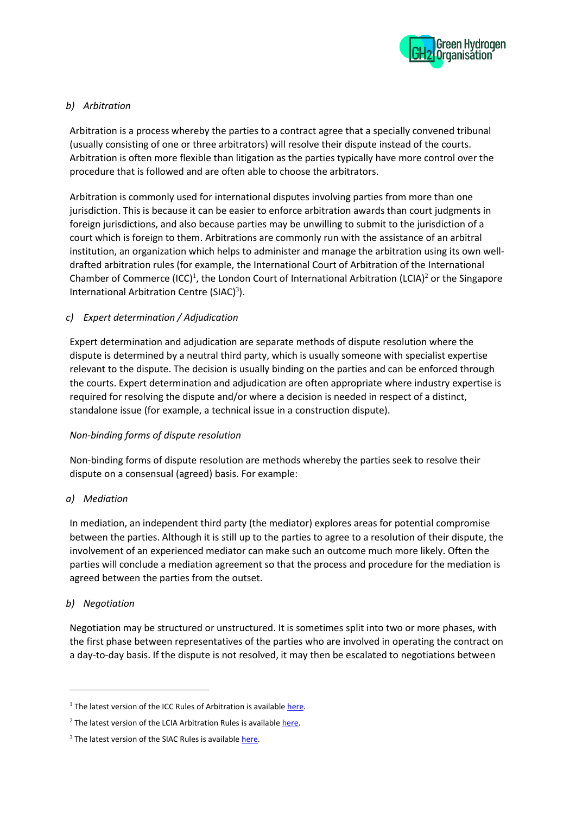

## *b) Arbitration*

Arbitration is a process whereby the parties to a contract agree that a specially convened tribunal (usually consisting of one or three arbitrators) will resolve their dispute instead of the courts. Arbitration is often more flexible than litigation as the parties typically have more control over the procedure that is followed and are often able to choose the arbitrators.

Arbitration is commonly used for international disputes involving parties from more than one jurisdiction. This is because it can be easier to enforce arbitration awards than court judgments in foreign jurisdictions, and also because parties may be unwilling to submit to the jurisdiction of a court which is foreign to them. Arbitrations are commonly run with the assistance of an arbitral institution, an organization which helps to administer and manage the arbitration using its own welldrafted arbitration rules (for example, the International Court of Arbitration of the International Chamber of Commerce (ICC)<sup>1</sup>, the London Court of International Arbitration (LCIA)<sup>2</sup> or the Singapore International Arbitration Centre (SIAC) $3$ ).

# *c) Expert determination / Adjudication*

Expert determination and adjudication are separate methods of dispute resolution where the dispute is determined by a neutral third party, which is usually someone with specialist expertise relevant to the dispute. The decision is usually binding on the parties and can be enforced through the courts. Expert determination and adjudication are often appropriate where industry expertise is required for resolving the dispute and/or where a decision is needed in respect of a distinct, standalone issue (for example, a technical issue in a construction dispute).

## *Non-binding forms of dispute resolution*

Non-binding forms of dispute resolution are methods whereby the parties seek to resolve their dispute on a consensual (agreed) basis. For example:

## *a) Mediation*

In mediation, an independent third party (the mediator) explores areas for potential compromise between the parties. Although it is still up to the parties to agree to a resolution of their dispute, the involvement of an experienced mediator can make such an outcome much more likely. Often the parties will conclude a mediation agreement so that the process and procedure for the mediation is agreed between the parties from the outset.

## *b) Negotiation*

Negotiation may be structured or unstructured. It is sometimes split into two or more phases, with the first phase between representatives of the parties who are involved in operating the contract on a day-to-day basis. If the dispute is not resolved, it may then be escalated to negotiations between

 $1$  The latest version of the ICC Rules of Arbitration is available [here.](https://iccwbo.org/dispute-resolution-services/arbitration/rules-of-arbitration/)

 $2$  The latest version of the LCIA Arbitration Rules is availabl[e here.](https://www.lcia.org/Dispute_Resolution_Services/lcia-arbitration-rules-2020.aspx)

 $3$  The latest version of the SIAC Rules is available here.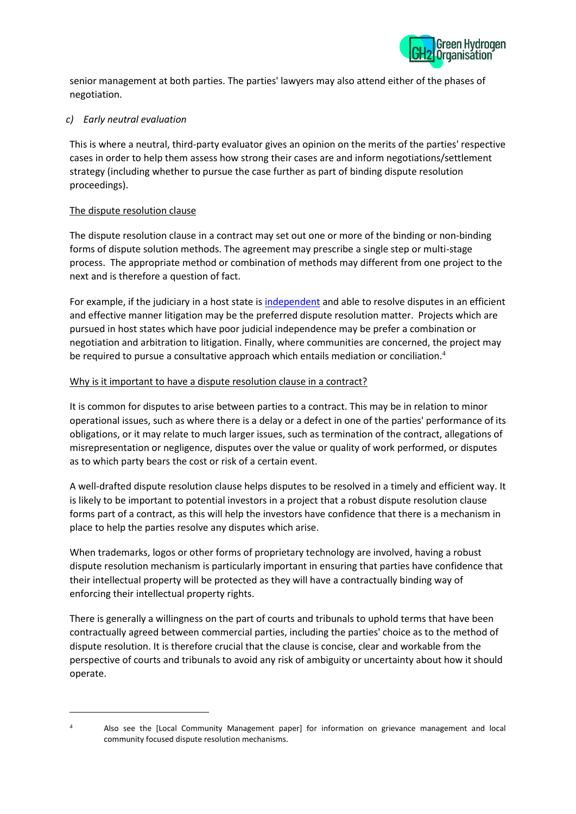

senior management at both parties. The parties' lawyers may also attend either of the phases of negotiation.

## *c) Early neutral evaluation*

This is where a neutral, third-party evaluator gives an opinion on the merits of the parties' respective cases in order to help them assess how strong their cases are and inform negotiations/settlement strategy (including whether to pursue the case further as part of binding dispute resolution proceedings).

## The dispute resolution clause

The dispute resolution clause in a contract may set out one or more of the binding or non-binding forms of dispute solution methods. The agreement may prescribe a single step or multi-stage process. The appropriate method or combination of methods may different from one project to the next and is therefore a question of fact.

For example, if the judiciary in a host state i[s independent](https://worldjusticeproject.org/our-work/wjp-rule-law-index) and able to resolve disputes in an efficient and effective manner litigation may be the preferred dispute resolution matter. Projects which are pursued in host states which have poor judicial independence may be prefer a combination or negotiation and arbitration to litigation. Finally, where communities are concerned, the project may be required to pursue a consultative approach which entails mediation or conciliation. $4$ 

## Why is it important to have a dispute resolution clause in a contract?

It is common for disputes to arise between parties to a contract. This may be in relation to minor operational issues, such as where there is a delay or a defect in one of the parties' performance of its obligations, or it may relate to much larger issues, such as termination of the contract, allegations of misrepresentation or negligence, disputes over the value or quality of work performed, or disputes as to which party bears the cost or risk of a certain event.

A well-drafted dispute resolution clause helps disputes to be resolved in a timely and efficient way. It is likely to be important to potential investors in a project that a robust dispute resolution clause forms part of a contract, as this will help the investors have confidence that there is a mechanism in place to help the parties resolve any disputes which arise.

When trademarks, logos or other forms of proprietary technology are involved, having a robust dispute resolution mechanism is particularly important in ensuring that parties have confidence that their intellectual property will be protected as they will have a contractually binding way of enforcing their intellectual property rights.

There is generally a willingness on the part of courts and tribunals to uphold terms that have been contractually agreed between commercial parties, including the parties' choice as to the method of dispute resolution. It is therefore crucial that the clause is concise, clear and workable from the perspective of courts and tribunals to avoid any risk of ambiguity or uncertainty about how it should operate.

<sup>4</sup> Also see the [Local Community Management paper] for information on grievance management and local community focused dispute resolution mechanisms.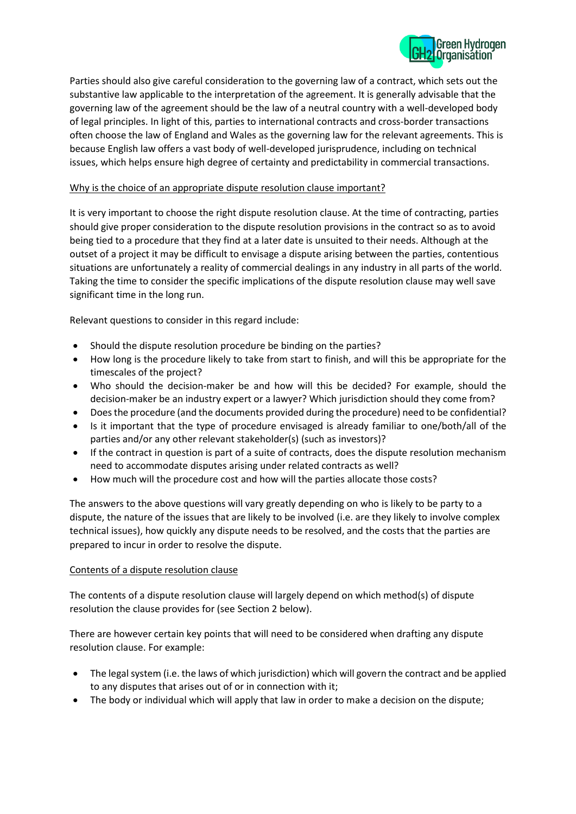

Parties should also give careful consideration to the governing law of a contract, which sets out the substantive law applicable to the interpretation of the agreement. It is generally advisable that the governing law of the agreement should be the law of a neutral country with a well-developed body of legal principles. In light of this, parties to international contracts and cross-border transactions often choose the law of England and Wales as the governing law for the relevant agreements. This is because English law offers a vast body of well-developed jurisprudence, including on technical issues, which helps ensure high degree of certainty and predictability in commercial transactions.

#### Why is the choice of an appropriate dispute resolution clause important?

It is very important to choose the right dispute resolution clause. At the time of contracting, parties should give proper consideration to the dispute resolution provisions in the contract so as to avoid being tied to a procedure that they find at a later date is unsuited to their needs. Although at the outset of a project it may be difficult to envisage a dispute arising between the parties, contentious situations are unfortunately a reality of commercial dealings in any industry in all parts of the world. Taking the time to consider the specific implications of the dispute resolution clause may well save significant time in the long run.

Relevant questions to consider in this regard include:

- Should the dispute resolution procedure be binding on the parties?
- How long is the procedure likely to take from start to finish, and will this be appropriate for the timescales of the project?
- Who should the decision-maker be and how will this be decided? For example, should the decision-maker be an industry expert or a lawyer? Which jurisdiction should they come from?
- Does the procedure (and the documents provided during the procedure) need to be confidential?
- Is it important that the type of procedure envisaged is already familiar to one/both/all of the parties and/or any other relevant stakeholder(s) (such as investors)?
- If the contract in question is part of a suite of contracts, does the dispute resolution mechanism need to accommodate disputes arising under related contracts as well?
- How much will the procedure cost and how will the parties allocate those costs?

The answers to the above questions will vary greatly depending on who is likely to be party to a dispute, the nature of the issues that are likely to be involved (i.e. are they likely to involve complex technical issues), how quickly any dispute needs to be resolved, and the costs that the parties are prepared to incur in order to resolve the dispute.

#### Contents of a dispute resolution clause

The contents of a dispute resolution clause will largely depend on which method(s) of dispute resolution the clause provides for (see Section 2 below).

There are however certain key points that will need to be considered when drafting any dispute resolution clause. For example:

- The legal system (i.e. the laws of which jurisdiction) which will govern the contract and be applied to any disputes that arises out of or in connection with it;
- The body or individual which will apply that law in order to make a decision on the dispute;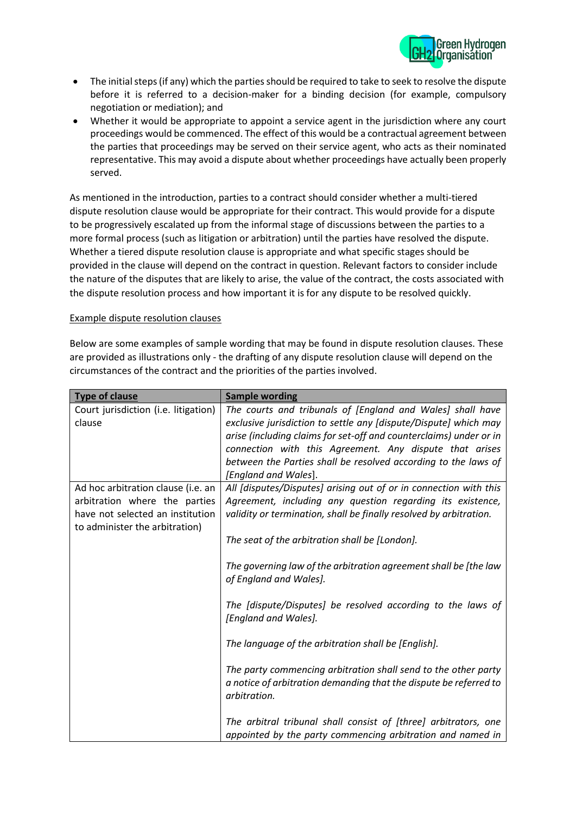

- The initial steps (if any) which the parties should be required to take to seek to resolve the dispute before it is referred to a decision-maker for a binding decision (for example, compulsory negotiation or mediation); and
- Whether it would be appropriate to appoint a service agent in the jurisdiction where any court proceedings would be commenced. The effect of this would be a contractual agreement between the parties that proceedings may be served on their service agent, who acts as their nominated representative. This may avoid a dispute about whether proceedings have actually been properly served.

As mentioned in the introduction, parties to a contract should consider whether a multi-tiered dispute resolution clause would be appropriate for their contract. This would provide for a dispute to be progressively escalated up from the informal stage of discussions between the parties to a more formal process (such as litigation or arbitration) until the parties have resolved the dispute. Whether a tiered dispute resolution clause is appropriate and what specific stages should be provided in the clause will depend on the contract in question. Relevant factors to consider include the nature of the disputes that are likely to arise, the value of the contract, the costs associated with the dispute resolution process and how important it is for any dispute to be resolved quickly.

#### Example dispute resolution clauses

Below are some examples of sample wording that may be found in dispute resolution clauses. These are provided as illustrations only - the drafting of any dispute resolution clause will depend on the circumstances of the contract and the priorities of the parties involved.

| <b>Type of clause</b>                                                                                                                     | <b>Sample wording</b>                                                                                                                                                                                                                                                                                                                                     |
|-------------------------------------------------------------------------------------------------------------------------------------------|-----------------------------------------------------------------------------------------------------------------------------------------------------------------------------------------------------------------------------------------------------------------------------------------------------------------------------------------------------------|
| Court jurisdiction (i.e. litigation)<br>clause                                                                                            | The courts and tribunals of [England and Wales] shall have<br>exclusive jurisdiction to settle any [dispute/Dispute] which may<br>arise (including claims for set-off and counterclaims) under or in<br>connection with this Agreement. Any dispute that arises<br>between the Parties shall be resolved according to the laws of<br>[England and Wales]. |
| Ad hoc arbitration clause (i.e. an<br>arbitration where the parties<br>have not selected an institution<br>to administer the arbitration) | All [disputes/Disputes] arising out of or in connection with this<br>Agreement, including any question regarding its existence,<br>validity or termination, shall be finally resolved by arbitration.<br>The seat of the arbitration shall be [London].                                                                                                   |
|                                                                                                                                           | The governing law of the arbitration agreement shall be [the law<br>of England and Wales].<br>The [dispute/Disputes] be resolved according to the laws of<br>[England and Wales].                                                                                                                                                                         |
|                                                                                                                                           | The language of the arbitration shall be [English].<br>The party commencing arbitration shall send to the other party<br>a notice of arbitration demanding that the dispute be referred to<br>arbitration.                                                                                                                                                |
|                                                                                                                                           | The arbitral tribunal shall consist of [three] arbitrators, one<br>appointed by the party commencing arbitration and named in                                                                                                                                                                                                                             |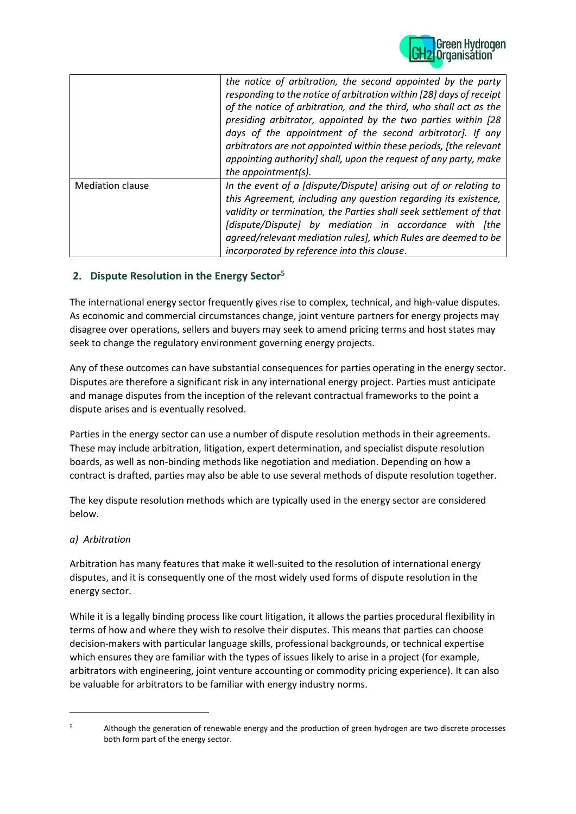

|                         | the notice of arbitration, the second appointed by the party<br>responding to the notice of arbitration within [28] days of receipt<br>of the notice of arbitration, and the third, who shall act as the<br>presiding arbitrator, appointed by the two parties within [28<br>days of the appointment of the second arbitrator]. If any<br>arbitrators are not appointed within these periods, [the relevant<br>appointing authority] shall, upon the request of any party, make |
|-------------------------|---------------------------------------------------------------------------------------------------------------------------------------------------------------------------------------------------------------------------------------------------------------------------------------------------------------------------------------------------------------------------------------------------------------------------------------------------------------------------------|
| <b>Mediation clause</b> | the appointment(s).<br>In the event of a [dispute/Dispute] arising out of or relating to<br>this Agreement, including any question regarding its existence,<br>validity or termination, the Parties shall seek settlement of that<br>[dispute/Dispute] by mediation in accordance with [the<br>agreed/relevant mediation rules], which Rules are deemed to be<br>incorporated by reference into this clause.                                                                    |

# **2. Dispute Resolution in the Energy Sector<sup>5</sup>**

The international energy sector frequently gives rise to complex, technical, and high-value disputes. As economic and commercial circumstances change, joint venture partners for energy projects may disagree over operations, sellers and buyers may seek to amend pricing terms and host states may seek to change the regulatory environment governing energy projects.

Any of these outcomes can have substantial consequences for parties operating in the energy sector. Disputes are therefore a significant risk in any international energy project. Parties must anticipate and manage disputes from the inception of the relevant contractual frameworks to the point a dispute arises and is eventually resolved.

Parties in the energy sector can use a number of dispute resolution methods in their agreements. These may include arbitration, litigation, expert determination, and specialist dispute resolution boards, as well as non-binding methods like negotiation and mediation. Depending on how a contract is drafted, parties may also be able to use several methods of dispute resolution together.

The key dispute resolution methods which are typically used in the energy sector are considered below.

## *a) Arbitration*

Arbitration has many features that make it well-suited to the resolution of international energy disputes, and it is consequently one of the most widely used forms of dispute resolution in the energy sector.

While it is a legally binding process like court litigation, it allows the parties procedural flexibility in terms of how and where they wish to resolve their disputes. This means that parties can choose decision-makers with particular language skills, professional backgrounds, or technical expertise which ensures they are familiar with the types of issues likely to arise in a project (for example, arbitrators with engineering, joint venture accounting or commodity pricing experience). It can also be valuable for arbitrators to be familiar with energy industry norms.

 $5$  Although the generation of renewable energy and the production of green hydrogen are two discrete processes both form part of the energy sector.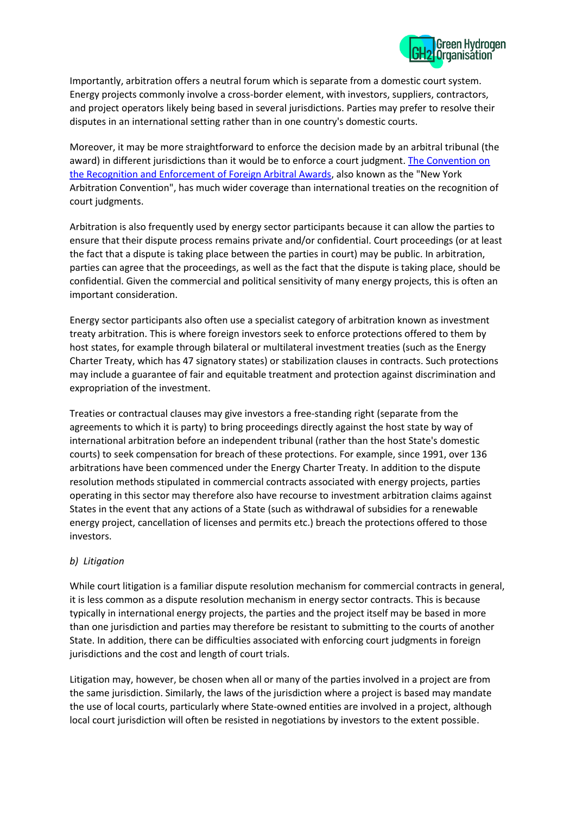

Importantly, arbitration offers a neutral forum which is separate from a domestic court system. Energy projects commonly involve a cross-border element, with investors, suppliers, contractors, and project operators likely being based in several jurisdictions. Parties may prefer to resolve their disputes in an international setting rather than in one country's domestic courts.

Moreover, it may be more straightforward to enforce the decision made by an arbitral tribunal (the award) in different jurisdictions than it would be to enforce a court judgment. The Convention on [the Recognition and Enforcement of Foreign Arbitral Awards,](https://www.newyorkconvention.org/english) also known as the "New York Arbitration Convention", has much wider coverage than international treaties on the recognition of court judgments.

Arbitration is also frequently used by energy sector participants because it can allow the parties to ensure that their dispute process remains private and/or confidential. Court proceedings (or at least the fact that a dispute is taking place between the parties in court) may be public. In arbitration, parties can agree that the proceedings, as well as the fact that the dispute is taking place, should be confidential. Given the commercial and political sensitivity of many energy projects, this is often an important consideration.

Energy sector participants also often use a specialist category of arbitration known as investment treaty arbitration. This is where foreign investors seek to enforce protections offered to them by host states, for example through bilateral or multilateral investment treaties (such as the Energy Charter Treaty, which has 47 signatory states) or stabilization clauses in contracts. Such protections may include a guarantee of fair and equitable treatment and protection against discrimination and expropriation of the investment.

Treaties or contractual clauses may give investors a free-standing right (separate from the agreements to which it is party) to bring proceedings directly against the host state by way of international arbitration before an independent tribunal (rather than the host State's domestic courts) to seek compensation for breach of these protections. For example, since 1991, over 136 arbitrations have been commenced under the Energy Charter Treaty. In addition to the dispute resolution methods stipulated in commercial contracts associated with energy projects, parties operating in this sector may therefore also have recourse to investment arbitration claims against States in the event that any actions of a State (such as withdrawal of subsidies for a renewable energy project, cancellation of licenses and permits etc.) breach the protections offered to those investors.

## *b) Litigation*

While court litigation is a familiar dispute resolution mechanism for commercial contracts in general, it is less common as a dispute resolution mechanism in energy sector contracts. This is because typically in international energy projects, the parties and the project itself may be based in more than one jurisdiction and parties may therefore be resistant to submitting to the courts of another State. In addition, there can be difficulties associated with enforcing court judgments in foreign jurisdictions and the cost and length of court trials.

Litigation may, however, be chosen when all or many of the parties involved in a project are from the same jurisdiction. Similarly, the laws of the jurisdiction where a project is based may mandate the use of local courts, particularly where State-owned entities are involved in a project, although local court jurisdiction will often be resisted in negotiations by investors to the extent possible.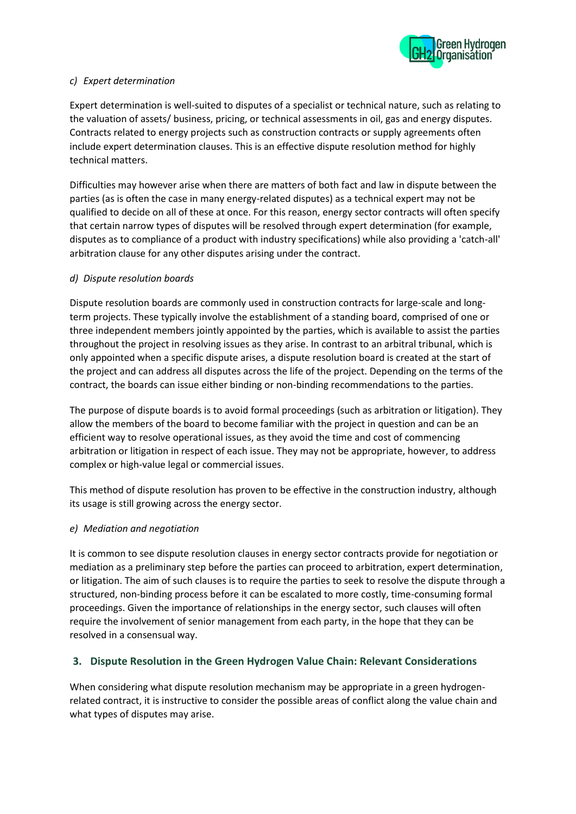

#### *c) Expert determination*

Expert determination is well-suited to disputes of a specialist or technical nature, such as relating to the valuation of assets/ business, pricing, or technical assessments in oil, gas and energy disputes. Contracts related to energy projects such as construction contracts or supply agreements often include expert determination clauses. This is an effective dispute resolution method for highly technical matters.

Difficulties may however arise when there are matters of both fact and law in dispute between the parties (as is often the case in many energy-related disputes) as a technical expert may not be qualified to decide on all of these at once. For this reason, energy sector contracts will often specify that certain narrow types of disputes will be resolved through expert determination (for example, disputes as to compliance of a product with industry specifications) while also providing a 'catch-all' arbitration clause for any other disputes arising under the contract.

## *d) Dispute resolution boards*

Dispute resolution boards are commonly used in construction contracts for large-scale and longterm projects. These typically involve the establishment of a standing board, comprised of one or three independent members jointly appointed by the parties, which is available to assist the parties throughout the project in resolving issues as they arise. In contrast to an arbitral tribunal, which is only appointed when a specific dispute arises, a dispute resolution board is created at the start of the project and can address all disputes across the life of the project. Depending on the terms of the contract, the boards can issue either binding or non-binding recommendations to the parties.

The purpose of dispute boards is to avoid formal proceedings (such as arbitration or litigation). They allow the members of the board to become familiar with the project in question and can be an efficient way to resolve operational issues, as they avoid the time and cost of commencing arbitration or litigation in respect of each issue. They may not be appropriate, however, to address complex or high-value legal or commercial issues.

This method of dispute resolution has proven to be effective in the construction industry, although its usage is still growing across the energy sector.

## *e) Mediation and negotiation*

It is common to see dispute resolution clauses in energy sector contracts provide for negotiation or mediation as a preliminary step before the parties can proceed to arbitration, expert determination, or litigation. The aim of such clauses is to require the parties to seek to resolve the dispute through a structured, non-binding process before it can be escalated to more costly, time-consuming formal proceedings. Given the importance of relationships in the energy sector, such clauses will often require the involvement of senior management from each party, in the hope that they can be resolved in a consensual way.

## **3. Dispute Resolution in the Green Hydrogen Value Chain: Relevant Considerations**

When considering what dispute resolution mechanism may be appropriate in a green hydrogenrelated contract, it is instructive to consider the possible areas of conflict along the value chain and what types of disputes may arise.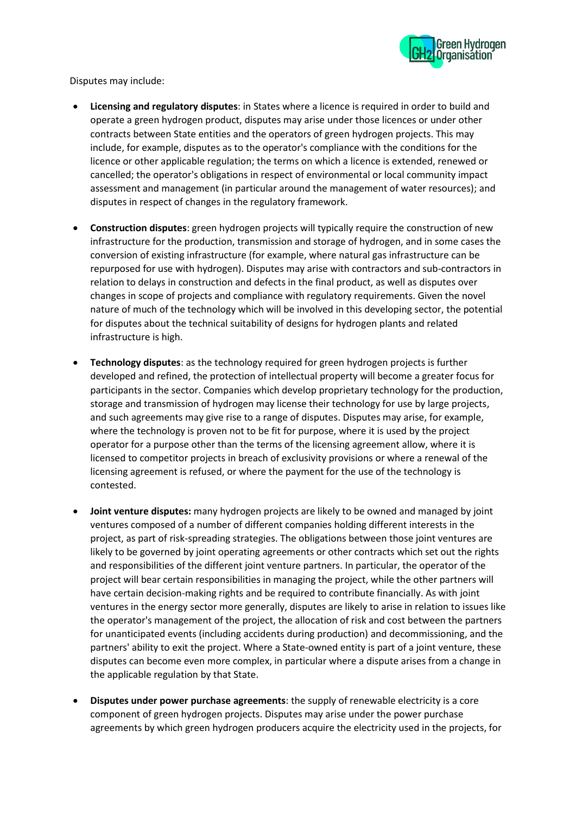

Disputes may include:

- **Licensing and regulatory disputes**: in States where a licence is required in order to build and operate a green hydrogen product, disputes may arise under those licences or under other contracts between State entities and the operators of green hydrogen projects. This may include, for example, disputes as to the operator's compliance with the conditions for the licence or other applicable regulation; the terms on which a licence is extended, renewed or cancelled; the operator's obligations in respect of environmental or local community impact assessment and management (in particular around the management of water resources); and disputes in respect of changes in the regulatory framework.
- **Construction disputes**: green hydrogen projects will typically require the construction of new infrastructure for the production, transmission and storage of hydrogen, and in some cases the conversion of existing infrastructure (for example, where natural gas infrastructure can be repurposed for use with hydrogen). Disputes may arise with contractors and sub-contractors in relation to delays in construction and defects in the final product, as well as disputes over changes in scope of projects and compliance with regulatory requirements. Given the novel nature of much of the technology which will be involved in this developing sector, the potential for disputes about the technical suitability of designs for hydrogen plants and related infrastructure is high.
- **Technology disputes**: as the technology required for green hydrogen projects is further developed and refined, the protection of intellectual property will become a greater focus for participants in the sector. Companies which develop proprietary technology for the production, storage and transmission of hydrogen may license their technology for use by large projects, and such agreements may give rise to a range of disputes. Disputes may arise, for example, where the technology is proven not to be fit for purpose, where it is used by the project operator for a purpose other than the terms of the licensing agreement allow, where it is licensed to competitor projects in breach of exclusivity provisions or where a renewal of the licensing agreement is refused, or where the payment for the use of the technology is contested.
- **Joint venture disputes:** many hydrogen projects are likely to be owned and managed by joint ventures composed of a number of different companies holding different interests in the project, as part of risk-spreading strategies. The obligations between those joint ventures are likely to be governed by joint operating agreements or other contracts which set out the rights and responsibilities of the different joint venture partners. In particular, the operator of the project will bear certain responsibilities in managing the project, while the other partners will have certain decision-making rights and be required to contribute financially. As with joint ventures in the energy sector more generally, disputes are likely to arise in relation to issues like the operator's management of the project, the allocation of risk and cost between the partners for unanticipated events (including accidents during production) and decommissioning, and the partners' ability to exit the project. Where a State-owned entity is part of a joint venture, these disputes can become even more complex, in particular where a dispute arises from a change in the applicable regulation by that State.
- **Disputes under power purchase agreements**: the supply of renewable electricity is a core component of green hydrogen projects. Disputes may arise under the power purchase agreements by which green hydrogen producers acquire the electricity used in the projects, for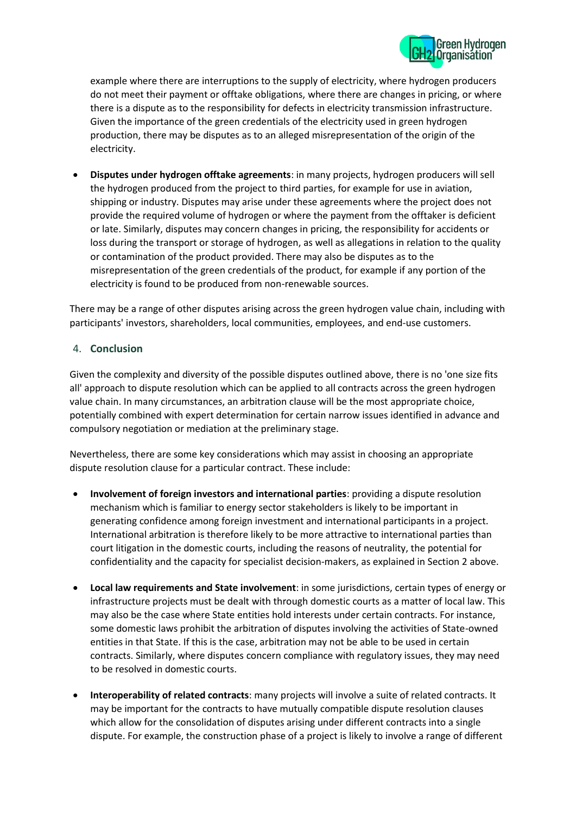

example where there are interruptions to the supply of electricity, where hydrogen producers do not meet their payment or offtake obligations, where there are changes in pricing, or where there is a dispute as to the responsibility for defects in electricity transmission infrastructure. Given the importance of the green credentials of the electricity used in green hydrogen production, there may be disputes as to an alleged misrepresentation of the origin of the electricity.

• **Disputes under hydrogen offtake agreements**: in many projects, hydrogen producers will sell the hydrogen produced from the project to third parties, for example for use in aviation, shipping or industry. Disputes may arise under these agreements where the project does not provide the required volume of hydrogen or where the payment from the offtaker is deficient or late. Similarly, disputes may concern changes in pricing, the responsibility for accidents or loss during the transport or storage of hydrogen, as well as allegations in relation to the quality or contamination of the product provided. There may also be disputes as to the misrepresentation of the green credentials of the product, for example if any portion of the electricity is found to be produced from non-renewable sources.

There may be a range of other disputes arising across the green hydrogen value chain, including with participants' investors, shareholders, local communities, employees, and end-use customers.

## 4. **Conclusion**

Given the complexity and diversity of the possible disputes outlined above, there is no 'one size fits all' approach to dispute resolution which can be applied to all contracts across the green hydrogen value chain. In many circumstances, an arbitration clause will be the most appropriate choice, potentially combined with expert determination for certain narrow issues identified in advance and compulsory negotiation or mediation at the preliminary stage.

Nevertheless, there are some key considerations which may assist in choosing an appropriate dispute resolution clause for a particular contract. These include:

- **Involvement of foreign investors and international parties**: providing a dispute resolution mechanism which is familiar to energy sector stakeholders is likely to be important in generating confidence among foreign investment and international participants in a project. International arbitration is therefore likely to be more attractive to international parties than court litigation in the domestic courts, including the reasons of neutrality, the potential for confidentiality and the capacity for specialist decision-makers, as explained in Section 2 above.
- **Local law requirements and State involvement**: in some jurisdictions, certain types of energy or infrastructure projects must be dealt with through domestic courts as a matter of local law. This may also be the case where State entities hold interests under certain contracts. For instance, some domestic laws prohibit the arbitration of disputes involving the activities of State-owned entities in that State. If this is the case, arbitration may not be able to be used in certain contracts. Similarly, where disputes concern compliance with regulatory issues, they may need to be resolved in domestic courts.
- **Interoperability of related contracts**: many projects will involve a suite of related contracts. It may be important for the contracts to have mutually compatible dispute resolution clauses which allow for the consolidation of disputes arising under different contracts into a single dispute. For example, the construction phase of a project is likely to involve a range of different